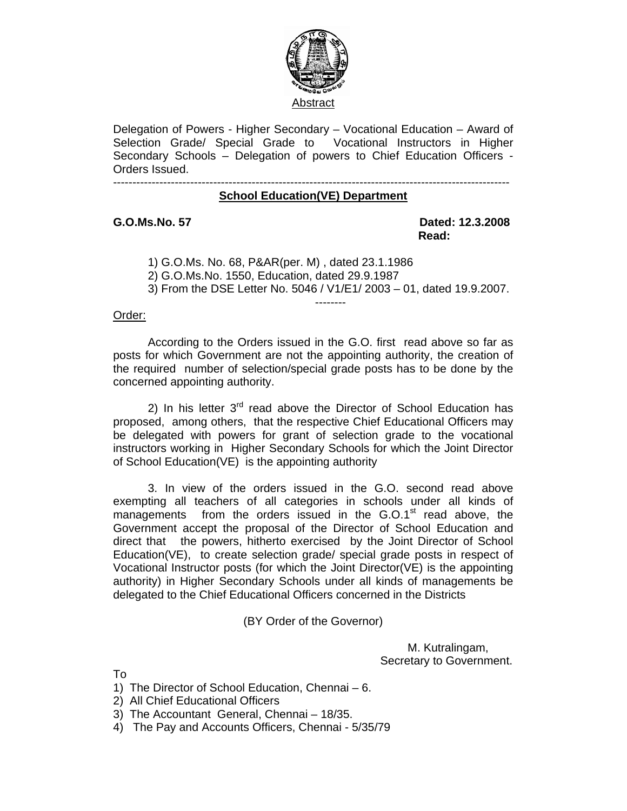

Delegation of Powers - Higher Secondary – Vocational Education – Award of Selection Grade/ Special Grade to Vocational Instructors in Higher Secondary Schools – Delegation of powers to Chief Education Officers - Orders Issued.

## ------------------------------------------------------------------------------------------------------- **School Education(VE) Department**

**G.O.Ms.No. 57 Dated: 12.3.2008**  *Read:*  $\overline{\phantom{a}}$  **Read:** 

 1) G.O.Ms. No. 68, P&AR(per. M) , dated 23.1.1986 2) G.O.Ms.No. 1550, Education, dated 29.9.1987 3) From the DSE Letter No. 5046 / V1/E1/ 2003 – 01, dated 19.9.2007. --------

## Order:

 According to the Orders issued in the G.O. first read above so far as posts for which Government are not the appointing authority, the creation of the required number of selection/special grade posts has to be done by the concerned appointing authority.

2) In his letter  $3<sup>rd</sup>$  read above the Director of School Education has proposed, among others, that the respective Chief Educational Officers may be delegated with powers for grant of selection grade to the vocational instructors working in Higher Secondary Schools for which the Joint Director of School Education(VE) is the appointing authority

 3. In view of the orders issued in the G.O. second read above exempting all teachers of all categories in schools under all kinds of managements from the orders issued in the  $G.O.1<sup>st</sup>$  read above, the Government accept the proposal of the Director of School Education and direct that the powers, hitherto exercised by the Joint Director of School Education(VE), to create selection grade/ special grade posts in respect of Vocational Instructor posts (for which the Joint Director(VE) is the appointing authority) in Higher Secondary Schools under all kinds of managements be delegated to the Chief Educational Officers concerned in the Districts

(BY Order of the Governor)

 M. Kutralingam, Secretary to Government.

To

- 1) The Director of School Education, Chennai 6.
- 2) All Chief Educational Officers
- 3) The Accountant General, Chennai 18/35.
- 4) The Pay and Accounts Officers, Chennai 5/35/79